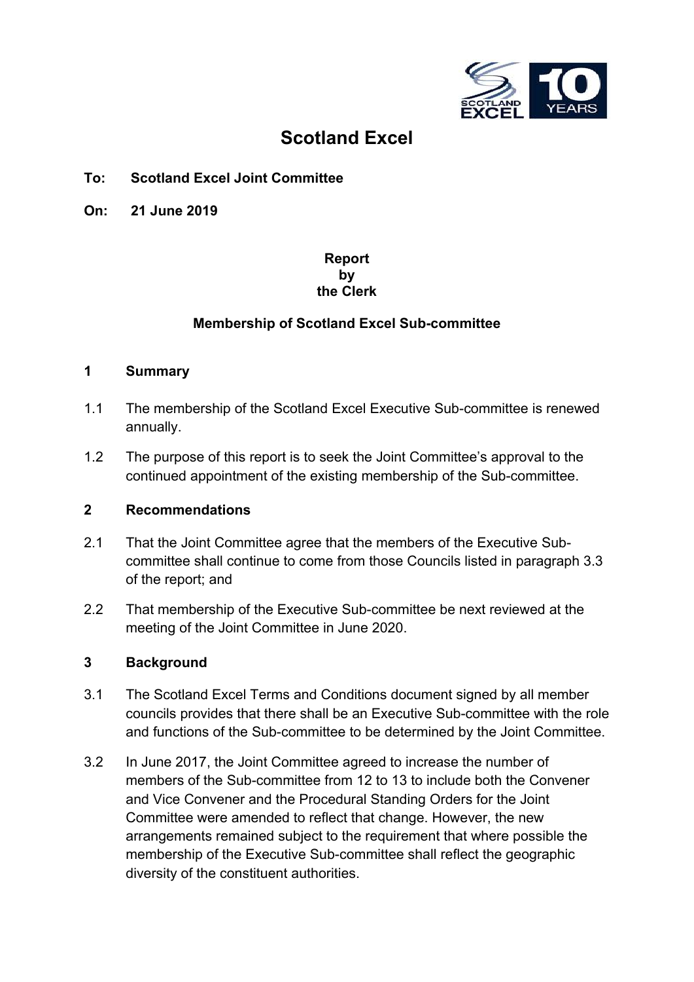

# **Scotland Excel**

# **To: Scotland Excel Joint Committee**

**On: 21 June 2019** 

## **Report by the Clerk**

# **Membership of Scotland Excel Sub-committee**

#### **1 Summary**

- 1.1 The membership of the Scotland Excel Executive Sub-committee is renewed annually.
- 1.2 The purpose of this report is to seek the Joint Committee's approval to the continued appointment of the existing membership of the Sub-committee.

## **2 Recommendations**

- 2.1 That the Joint Committee agree that the members of the Executive Subcommittee shall continue to come from those Councils listed in paragraph 3.3 of the report; and
- 2.2 That membership of the Executive Sub-committee be next reviewed at the meeting of the Joint Committee in June 2020.

## **3 Background**

- 3.1 The Scotland Excel Terms and Conditions document signed by all member councils provides that there shall be an Executive Sub-committee with the role and functions of the Sub-committee to be determined by the Joint Committee.
- 3.2 In June 2017, the Joint Committee agreed to increase the number of members of the Sub-committee from 12 to 13 to include both the Convener and Vice Convener and the Procedural Standing Orders for the Joint Committee were amended to reflect that change. However, the new arrangements remained subject to the requirement that where possible the membership of the Executive Sub-committee shall reflect the geographic diversity of the constituent authorities.